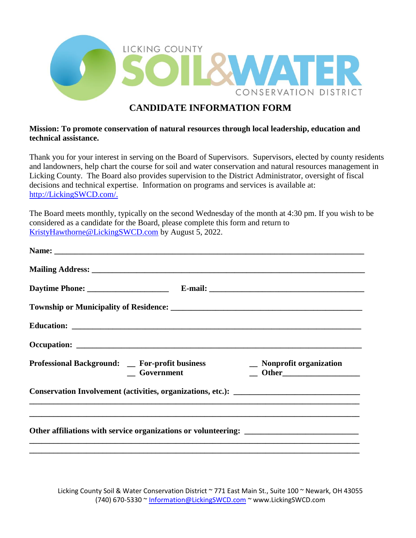

## **CANDIDATE INFORMATION FORM**

## **Mission: To promote conservation of natural resources through local leadership, education and technical assistance.**

Thank you for your interest in serving on the Board of Supervisors. Supervisors, elected by county residents and landowners, help chart the course for soil and water conservation and natural resources management in Licking County. The Board also provides supervision to the District Administrator, oversight of fiscal decisions and technical expertise. Information on programs and services is available at: [http://LickingSWCD.com/.](http://lickingswcd.com/)

The Board meets monthly, typically on the second Wednesday of the month at 4:30 pm. If you wish to be considered as a candidate for the Board, please complete this form and return to [KristyHawthorne@LickingSWCD.com](mailto:KristyHawthorne@LickingSWCD.com) by August 5, 2022.

| Professional Background: _ For-profit business<br>Government | _ Nonprofit organization<br>$\qquad$ Other |
|--------------------------------------------------------------|--------------------------------------------|
| Conservation Involvement (activities, organizations, etc.):  |                                            |
|                                                              |                                            |

Licking County Soil & Water Conservation District ~ 771 East Main St., Suite 100 ~ Newark, OH 43055 (740) 670-5330 ~ [Information@LickingSWCD.com](mailto:Information@LickingSWCD.com) ~ www.LickingSWCD.com